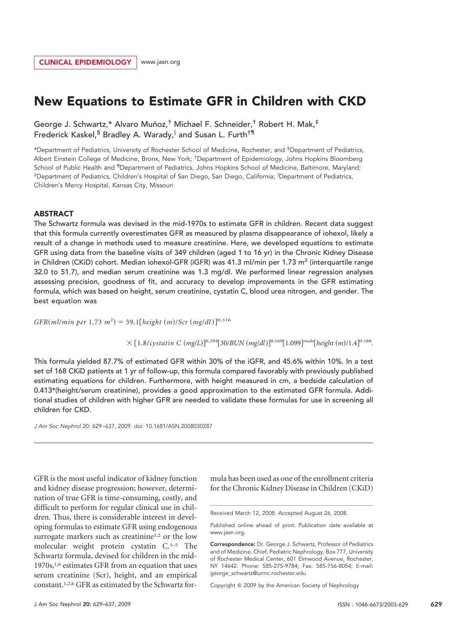# New Equations to Estimate GFR in Children with CKD

George J. Schwartz,\* Alvaro Muñoz,<sup>†</sup> Michael F. Schneider,<sup>†</sup> Robert H. Mak,<sup>‡</sup> Frederick Kaskel,  $\frac{1}{5}$  Bradley A. Warady, and Susan L. Furth<sup>†¶</sup>

\*Department of Pediatrics, University of Rochester School of Medicine, Rochester, and § Department of Pediatrics, Albert Einstein College of Medicine, Bronx, New York; † Department of Epidemiology, Johns Hopkins Bloomberg School of Public Health and <sup>1</sup>Department of Pediatrics, Johns Hopkins School of Medicine, Baltimore, Maryland; ‡ Department of Pediatrics, Children's Hospital of San Diego, San Diego, California; Department of Pediatrics, Children's Mercy Hospital, Kansas City, Missouri

## **ABSTRACT**

The Schwartz formula was devised in the mid-1970s to estimate GFR in children. Recent data suggest that this formula currently overestimates GFR as measured by plasma disappearance of iohexol, likely a result of a change in methods used to measure creatinine. Here, we developed equations to estimate GFR using data from the baseline visits of 349 children (aged 1 to 16 yr) in the Chronic Kidney Disease in Children (CKiD) cohort. Median iohexol-GFR (iGFR) was 41.3 ml/min per 1.73 m<sup>2</sup> (interquartile range 32.0 to 51.7), and median serum creatinine was 1.3 mg/dl. We performed linear regression analyses assessing precision, goodness of fit, and accuracy to develop improvements in the GFR estimating formula, which was based on height, serum creatinine, cystatin C, blood urea nitrogen, and gender. The best equation was

 $GFR(m/lmin per 1.73 m<sup>2</sup>) = 39.1[height (m)/Scr (mg/dl)]<sup>0.516</sup>$ 

 $\times$  [1.8/*cystatin C* (*mg*/*L*)]<sup>0.294</sup>[30/*BUN* (*mg*/*dl*)]<sup>0.169</sup>[1.099]<sup>*male*</sup>[height (*m*)/1.4]<sup>0.188</sup>.

This formula yielded 87.7% of estimated GFR within 30% of the iGFR, and 45.6% within 10%. In a test set of 168 CKiD patients at 1 yr of follow-up, this formula compared favorably with previously published estimating equations for children. Furthermore, with height measured in cm, a bedside calculation of 0.413\*(height/serum creatinine), provides a good approximation to the estimated GFR formula. Additional studies of children with higher GFR are needed to validate these formulas for use in screening all children for CKD.

*J Am Soc Nephrol* 20: 629 –637, 2009. doi: 10.1681/ASN.2008030287

GFR is the most useful indicator of kidney function and kidney disease progression; however, determination of true GFR is time-consuming, costly, and difficult to perform for regular clinical use in children. Thus, there is considerable interest in developing formulas to estimate GFR using endogenous surrogate markers such as creatinine<sup>1,2</sup> or the low molecular weight protein cystatin C.3–5 The Schwartz formula, devised for children in the mid-1970s,<sup>1,6</sup> estimates GFR from an equation that uses serum creatinine (Scr), height, and an empirical constant.1,2,6 GFR as estimated by the Schwartz formula has been used as one of the enrollment criteria for the Chronic Kidney Disease in Children (CKiD)

Copyright © 2009 by the American Society of Nephrology

Received March 12, 2008. Accepted August 26, 2008.

Published online ahead of print. Publication date available at www.jasn.org.

Correspondence: Dr. George J. Schwartz, Professor of Pediatrics and of Medicine, Chief, Pediatric Nephrology, Box 777, University of Rochester Medical Center, 601 Elmwood Avenue, Rochester, NY 14642. Phone: 585-275-9784; Fax: 585-756-8054; E-mail: george\_schwartz@urmc.rochester.edu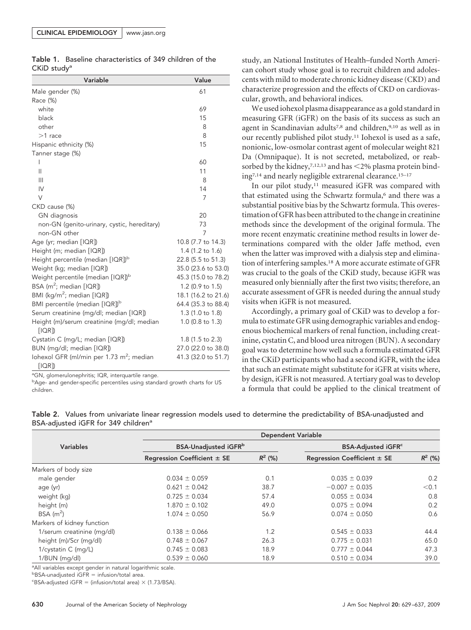|                         | Table 1. Baseline characteristics of 349 children of the |  |  |
|-------------------------|----------------------------------------------------------|--|--|
| CKiD study <sup>a</sup> |                                                          |  |  |

| Variable                                                      | Value               |
|---------------------------------------------------------------|---------------------|
| Male gender (%)                                               | 61                  |
| Race (%)                                                      |                     |
| white                                                         | 69                  |
| black                                                         | 15                  |
| other                                                         | 8                   |
| $>1$ race                                                     | 8                   |
| Hispanic ethnicity (%)                                        | 15                  |
| Tanner stage (%)                                              |                     |
| I                                                             | 60                  |
| $\mathsf{II}$                                                 | 11                  |
| $\mathbf{III}$                                                | 8                   |
| IV                                                            | 14                  |
| V                                                             | 7                   |
| CKD cause (%)                                                 |                     |
| GN diagnosis                                                  | 20                  |
| non-GN (genito-urinary, cystic, hereditary)                   | 73                  |
| non-GN other                                                  | 7                   |
| Age (yr; median [IQR])                                        | 10.8 (7.7 to 14.3)  |
| Height (m; median [IQR])                                      | 1.4 (1.2 to 1.6)    |
| Height percentile (median [IQR]) <sup>b</sup>                 | 22.8 (5.5 to 51.3)  |
| Weight (kg; median [IQR])                                     | 35.0 (23.6 to 53.0) |
| Weight percentile (median [IQR]) <sup>b</sup>                 | 45.3 (15.0 to 78.2) |
| BSA ( $m^2$ ; median $[1QR]$ )                                | 1.2 (0.9 to 1.5)    |
| BMI (kg/m <sup>2</sup> ; median [IQR])                        | 18.1 (16.2 to 21.6) |
| BMI percentile (median [IQR]) <sup>b</sup>                    | 64.4 (35.3 to 88.4) |
| Serum creatinine (mg/dl; median [IQR])                        | 1.3 (1.0 to 1.8)    |
| Height (m)/serum creatinine (mg/dl; median<br>[IOR]           | 1.0 (0.8 to 1.3)    |
| Cystatin C (mg/L; median [IQR])                               | 1.8 (1.5 to 2.3)    |
| BUN (mg/dl; median [IQR])                                     | 27.0 (22.0 to 38.0) |
| lohexol GFR (ml/min per 1.73 m <sup>2</sup> ; median<br>[IOR] | 41.3 (32.0 to 51.7) |

<sup>a</sup>GN, glomerulonephritis; IQR, interquartile range.

**bAge- and gender-specific percentiles using standard growth charts for US** children.

study, an National Institutes of Health–funded North American cohort study whose goal is to recruit children and adolescents with mild to moderate chronic kidney disease (CKD) and characterize progression and the effects of CKD on cardiovascular, growth, and behavioral indices.

We used iohexol plasma disappearance as a gold standard in measuring GFR (iGFR) on the basis of its success as such an agent in Scandinavian adults<sup>7,8</sup> and children,<sup>9,10</sup> as well as in our recently published pilot study.11 Iohexol is used as a safe, nonionic, low-osmolar contrast agent of molecular weight 821 Da (Omnipaque). It is not secreted, metabolized, or reabsorbed by the kidney,  $7,12,13$  and has  $\leq$ 2% plasma protein binding7,14 and nearly negligible extrarenal clearance.15–17

In our pilot study,<sup>11</sup> measured iGFR was compared with that estimated using the Schwartz formula,<sup>6</sup> and there was a substantial positive bias by the Schwartz formula. This overestimation of GFR has been attributed to the change in creatinine methods since the development of the original formula. The more recent enzymatic creatinine method results in lower determinations compared with the older Jaffe method, even when the latter was improved with a dialysis step and elimination of interfering samples.18 A more accurate estimate of GFR was crucial to the goals of the CKiD study, because iGFR was measured only biennially after the first two visits; therefore, an accurate assessment of GFR is needed during the annual study visits when iGFR is not measured.

Accordingly, a primary goal of CKiD was to develop a formula to estimate GFR using demographic variables and endogenous biochemical markers of renal function, including creatinine, cystatin C, and blood urea nitrogen (BUN). A secondary goal was to determine how well such a formula estimated GFR in the CKiD participants who had a second iGFR, with the idea that such an estimate might substitute for iGFR at visits where, by design, iGFR is not measured. A tertiary goal was to develop a formula that could be applied to the clinical treatment of

|                            | <b>Dependent Variable</b>       |           |                                      |           |  |  |  |  |
|----------------------------|---------------------------------|-----------|--------------------------------------|-----------|--|--|--|--|
| <b>Variables</b>           | <b>BSA-Unadjusted iGFR</b> b    |           | <b>BSA-Adjusted iGFR<sup>c</sup></b> |           |  |  |  |  |
|                            | Regression Coefficient $\pm$ SE | $R^2$ (%) | Regression Coefficient $\pm$ SE      | $R^2$ (%) |  |  |  |  |
| Markers of body size       |                                 |           |                                      |           |  |  |  |  |
| male gender                | $0.034 \pm 0.059$               | 0.1       | $0.035 \pm 0.039$                    | 0.2       |  |  |  |  |
| age (yr)                   | $0.621 \pm 0.042$               | 38.7      | $-0.007 \pm 0.035$                   | < 0.1     |  |  |  |  |
| weight (kg)                | $0.725 \pm 0.034$               | 57.4      | $0.055 \pm 0.034$                    | 0.8       |  |  |  |  |
| height (m)                 | $1.870 \pm 0.102$               | 49.0      | $0.075 \pm 0.094$                    | 0.2       |  |  |  |  |
| $BSA$ (m <sup>2</sup> )    | $1.074 \pm 0.050$               | 56.9      | $0.074 \pm 0.050$                    | 0.6       |  |  |  |  |
| Markers of kidney function |                                 |           |                                      |           |  |  |  |  |
| 1/serum creatinine (mg/dl) | $0.138 \pm 0.066$               | 1.2       | $0.545 \pm 0.033$                    | 44.4      |  |  |  |  |
| height (m)/Scr (mg/dl)     | $0.748 \pm 0.067$               | 26.3      | $0.775 \pm 0.031$                    | 65.0      |  |  |  |  |
| 1/cystatin C (mg/L)        | $0.745 \pm 0.083$               | 18.9      | $0.777 \pm 0.044$                    | 47.3      |  |  |  |  |
| 1/BUN (mg/dl)              | $0.539 \pm 0.060$               | 18.9      | $0.510 \pm 0.034$                    | 39.0      |  |  |  |  |

Table 2. Values from univariate linear regression models used to determine the predictability of BSA-unadjusted and BSA-adjusted iGFR for 349 children<sup>a</sup>

<sup>a</sup> All variables except gender in natural logarithmic scale.

 $b$ BSA-unadjusted iGFR = infusion/total area.

 $c$ BSA-adjusted iGFR = (infusion/total area)  $\times$  (1.73/BSA).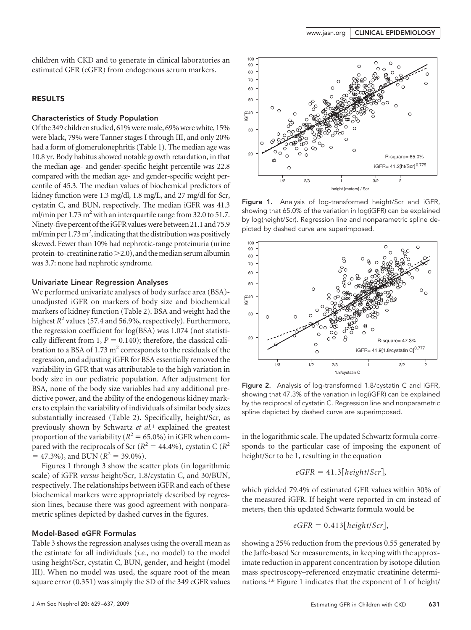children with CKD and to generate in clinical laboratories an estimated GFR (eGFR) from endogenous serum markers.

## RESULTS

## Characteristics of Study Population

Of the 349 children studied, 61% were male, 69% were white, 15% were black, 79% were Tanner stages I through III, and only 20% had a form of glomerulonephritis (Table 1). The median age was 10.8 yr. Body habitus showed notable growth retardation, in that the median age- and gender-specific height percentile was 22.8 compared with the median age- and gender-specific weight percentile of 45.3. The median values of biochemical predictors of kidney function were 1.3 mg/dl, 1.8 mg/L, and 27 mg/dl for Scr, cystatin C, and BUN, respectively. The median iGFR was 41.3 ml/min per  $1.73 \text{ m}^2$  with an interquartile range from 32.0 to 51.7. Ninety-five percent of theiGFR valueswere between 21.1 and 75.9 ml/min per 1.73 m<sup>2</sup>, indicating that the distribution was positively skewed. Fewer than 10% had nephrotic-range proteinuria (urine protein-to-creatinine ratio $>$ 2.0), and the median serum albumin was 3.7: none had nephrotic syndrome.

### Univariate Linear Regression Analyses

We performed univariate analyses of body surface area (BSA) unadjusted iGFR on markers of body size and biochemical markers of kidney function (Table 2). BSA and weight had the highest  $R^2$  values (57.4 and 56.9%, respectively). Furthermore, the regression coefficient for log(BSA) was 1.074 (not statistically different from 1,  $P = 0.140$ ; therefore, the classical calibration to a BSA of 1.73  $m<sup>2</sup>$  corresponds to the residuals of the regression, and adjusting iGFR for BSA essentially removed the variability in GFR that was attributable to the high variation in body size in our pediatric population. After adjustment for BSA, none of the body size variables had any additional predictive power, and the ability of the endogenous kidney markers to explain the variability of individuals of similar body sizes substantially increased (Table 2). Specifically, height/Scr, as previously shown by Schwartz *et al.*<sup>1</sup> explained the greatest proportion of the variability ( $R^2 = 65.0\%$ ) in iGFR when compared with the reciprocals of Scr ( $R^2 = 44.4\%$ ), cystatin C ( $R^2$  $=$  47.3%), and BUN ( $R^2$  = 39.0%).

Figures 1 through 3 show the scatter plots (in logarithmic scale) of iGFR *versus* height/Scr, 1.8/cystatin C, and 30/BUN, respectively. The relationships between iGFR and each of these biochemical markers were appropriately described by regression lines, because there was good agreement with nonparametric splines depicted by dashed curves in the figures.

#### Model-Based eGFR Formulas

Table 3 shows the regression analyses using the overall mean as the estimate for all individuals (*i.e.*, no model) to the model using height/Scr, cystatin C, BUN, gender, and height (model III). When no model was used, the square root of the mean square error (0.351) was simply the SD of the 349 eGFR values



Figure 1. Analysis of log-transformed height/Scr and iGFR, showing that 65.0% of the variation in log(iGFR) can be explained by log(height/Scr). Regression line and nonparametric spline depicted by dashed curve are superimposed.



Figure 2. Analysis of log-transformed 1.8/cystatin C and iGFR, showing that 47.3% of the variation in log(iGFR) can be explained by the reciprocal of cystatin C. Regression line and nonparametric spline depicted by dashed curve are superimposed.

in the logarithmic scale. The updated Schwartz formula corresponds to the particular case of imposing the exponent of height/Scr to be 1, resulting in the equation

$$
eGFR = 41.3[height/Scr],
$$

which yielded 79.4% of estimated GFR values within 30% of the measured iGFR. If height were reported in cm instead of meters, then this updated Schwartz formula would be

$$
eGFR = 0.413[height/Scr],
$$

showing a 25% reduction from the previous 0.55 generated by the Jaffe-based Scr measurements, in keeping with the approximate reduction in apparent concentration by isotope dilution mass spectroscopy–referenced enzymatic creatinine determinations.1,6 Figure 1 indicates that the exponent of 1 of height/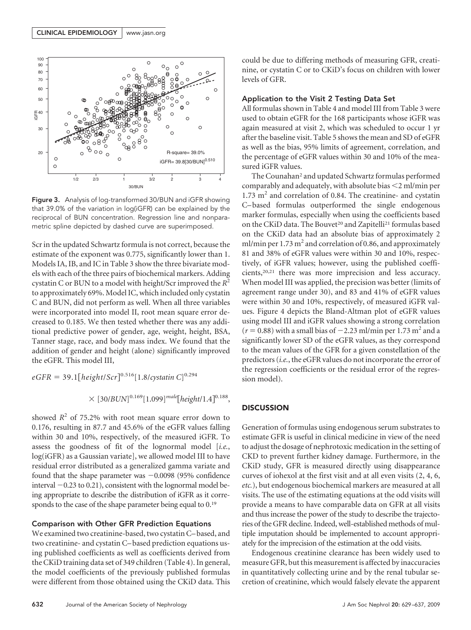

Figure 3. Analysis of log-transformed 30/BUN and iGFR showing that 39.0% of the variation in log(iGFR) can be explained by the reciprocal of BUN concentration. Regression line and nonparametric spline depicted by dashed curve are superimposed.

Scr in the updated Schwartz formula is not correct, because the estimate of the exponent was 0.775, significantly lower than 1. Models IA, IB, and IC in Table 3 show the three bivariate models with each of the three pairs of biochemical markers. Adding cystatin C or BUN to a model with height/Scr improved the *R*<sup>2</sup> to approximately 69%. Model IC, which included only cystatin C and BUN, did not perform as well. When all three variables were incorporated into model II, root mean square error decreased to 0.185. We then tested whether there was any additional predictive power of gender, age, weight, height, BSA, Tanner stage, race, and body mass index. We found that the addition of gender and height (alone) significantly improved the eGFR. This model III,

$$
eGFR = 39.1[height/Scr]^{0.516}[1.8/cystatin C]^{0.294}
$$

$$
\times [30/BUN]^{0.169}[1.099]^{male}[height/1.4]^{0.188},
$$

showed  $R^2$  of 75.2% with root mean square error down to 0.176, resulting in 87.7 and 45.6% of the eGFR values falling within 30 and 10%, respectively, of the measured iGFR. To assess the goodness of fit of the lognormal model [*i.e.*, log(iGFR) as a Gaussian variate], we allowed model III to have residual error distributed as a generalized gamma variate and found that the shape parameter was  $-0.0098$  (95% confidence interval  $-0.23$  to 0.21), consistent with the lognormal model being appropriate to describe the distribution of iGFR as it corresponds to the case of the shape parameter being equal to  $0.19$ 

## Comparison with Other GFR Prediction Equations

We examined two creatinine-based, two cystatin C– based, and two creatinine- and cystatin C– based prediction equations using published coefficients as well as coefficients derived from the CKiD training data set of 349 children (Table 4). In general, the model coefficients of the previously published formulas were different from those obtained using the CKiD data. This could be due to differing methods of measuring GFR, creatinine, or cystatin C or to CKiD's focus on children with lower levels of GFR.

## Application to the Visit 2 Testing Data Set

All formulas shown in Table 4 and model III from Table 3 were used to obtain eGFR for the 168 participants whose iGFR was again measured at visit 2, which was scheduled to occur 1 yr after the baseline visit. Table 5 shows the mean and SD of eGFR as well as the bias, 95% limits of agreement, correlation, and the percentage of eGFR values within 30 and 10% of the measured iGFR values.

The Counahan<sup>2</sup> and updated Schwartz formulas performed comparably and adequately, with absolute bias 2 ml/min per  $1.73 \text{ m}^2$  and correlation of 0.84. The creatinine- and cystatin C– based formulas outperformed the single endogenous marker formulas, especially when using the coefficients based on the CKiD data. The Bouvet<sup>20</sup> and Zapitelli<sup>21</sup> formulas based on the CKiD data had an absolute bias of approximately 2 ml/min per  $1.73 \text{ m}^2$  and correlation of 0.86, and approximately 81 and 38% of eGFR values were within 30 and 10%, respectively, of iGFR values; however, using the published coefficients,20,21 there was more imprecision and less accuracy. When model III was applied, the precision was better (limits of agreement range under 30), and 83 and 41% of eGFR values were within 30 and 10%, respectively, of measured iGFR values. Figure 4 depicts the Bland-Altman plot of eGFR values using model III and iGFR values showing a strong correlation  $(r = 0.88)$  with a small bias of  $-2.23$  ml/min per 1.73 m<sup>2</sup> and a significantly lower SD of the eGFR values, as they correspond to the mean values of the GFR for a given constellation of the predictors (*i.e.*, the eGFR values do not incorporate the error of the regression coefficients or the residual error of the regression model).

## **DISCUSSION**

Generation of formulas using endogenous serum substrates to estimate GFR is useful in clinical medicine in view of the need to adjust the dosage of nephrotoxic medication in the setting of CKD to prevent further kidney damage. Furthermore, in the CKiD study, GFR is measured directly using disappearance curves of iohexol at the first visit and at all even visits (2, 4, 6, *etc.*), but endogenous biochemical markers are measured at all visits. The use of the estimating equations at the odd visits will provide a means to have comparable data on GFR at all visits and thus increase the power of the study to describe the trajectories of the GFR decline. Indeed, well-established methods of multiple imputation should be implemented to account appropriately for the imprecision of the estimation at the odd visits.

Endogenous creatinine clearance has been widely used to measure GFR, but this measurement is affected by inaccuracies in quantitatively collecting urine and by the renal tubular secretion of creatinine, which would falsely elevate the apparent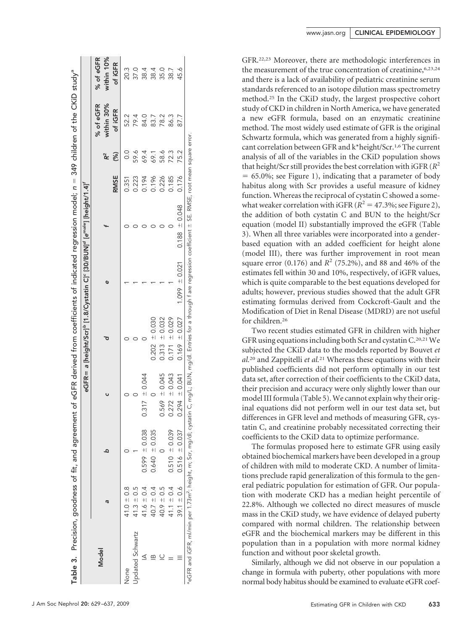|                  |                |                   |                   |                    |                   | eGFR= a [height/Scr]° [1.8/Cystatin C]° [30/BUN]ª [e <sup>male</sup> ] [height/1.4]' |             |               |                         |                         |
|------------------|----------------|-------------------|-------------------|--------------------|-------------------|--------------------------------------------------------------------------------------|-------------|---------------|-------------------------|-------------------------|
| Model            | ā              | ع                 |                   |                    | ¢                 |                                                                                      |             |               | % of eGFR<br>within 30% | % of eGFR<br>within 10% |
|                  |                |                   |                   |                    |                   |                                                                                      | <b>RMSE</b> | (%)           | of iGFR                 | of iGFR                 |
| Vone             | $41.0 \pm 0.8$ |                   |                   |                    |                   |                                                                                      | 0.351       | $\frac{0}{0}$ | 52.2                    | 20.3                    |
| Jpdated Schwartz | $41.3 \pm 0.5$ |                   |                   |                    |                   |                                                                                      | 0.223       | 59.6          | 79.4                    | 37.0                    |
|                  | $41.6 \pm 0.4$ | $0.599 \pm 0.038$ | $0.317 \pm 0.044$ |                    |                   |                                                                                      | 0.194       | 69.4          | 84.0                    | 38.4                    |
|                  | $40.7 \pm 0.4$ | $0.640 \pm 0.035$ |                   | $= 0.030$<br>0.202 |                   |                                                                                      | 0.196       | 69.1          | 83.7                    | 38.4                    |
|                  | $40.9 \pm 0.5$ |                   | $0.569 \pm 0.045$ | $= 0.032$<br>0.313 |                   |                                                                                      | 0.226       | 58.6          | 78.2                    | 35.0                    |
|                  | 41.1 $\pm$ 0.4 | $0.510 \pm 0.039$ | $0.272 \pm 0.043$ | $0.171 \pm 0.029$  |                   |                                                                                      | 0.185       | 723           | 86.3                    | 38.7                    |
|                  | $39.1 \pm 0.6$ | $0.516 \pm 0.037$ | $0.294 \pm 0.041$ | $0.169 \pm 0.027$  | $1.099 \pm 0.021$ | $0.188 \pm 0.048$                                                                    | 0.176       | 75.2          | 87.7                    | 45.6                    |

GFR.22,23 Moreover, there are methodologic interferences in the measurement of the true concentration of creatinine, 6,23,24 and there is a lack of availability of pediatric creatinine serum standards referenced to an isotope dilution mass spectrometry method.25 In the CKiD study, the largest prospective cohort study of CKD in children in North America, we have generated a new eGFR formula, based on an enzymatic creatinine method. The most widely used estimate of GFR is the original Schwartz formula, which was generated from a highly significant correlation between GFR and k\*height/Scr.1,6 The current analysis of all of the variables in the CKiD population shows that height/Scr still provides the best correlation with iGFR  $(R^2)$  $= 65.0\%$ ; see Figure 1), indicating that a parameter of body habitus along with Scr provides a useful measure of kidney function. Whereas the reciprocal of cystatin C showed a somewhat weaker correlation with iGFR  $(R^2 = 47.3\%$ ; see Figure 2), the addition of both cystatin C and BUN to the height/Scr equation (model II) substantially improved the eGFR (Table 3). When all three variables were incorporated into a genderbased equation with an added coefficient for height alone (model III), there was further improvement in root mean square error  $(0.176)$  and  $R^2$  (75.2%), and 88 and 46% of the estimates fell within 30 and 10%, respectively, of iGFR values, which is quite comparable to the best equations developed for adults; however, previous studies showed that the adult GFR estimating formulas derived from Cockcroft-Gault and the Modification of Diet in Renal Disease (MDRD) are not useful for children.26

Two recent studies estimated GFR in children with higher GFR using equations including both Scr and cystatin C.<sup>20,21</sup> We subjected the CKiD data to the models reported by Bouvet *et al.*<sup>20</sup> and Zappitelli *et al.*<sup>21</sup> Whereas these equations with their published coefficients did not perform optimally in our test data set, after correction of their coefficients to the CKiD data, their precision and accuracy were only slightly lower than our model III formula (Table 5).We cannot explain why their original equations did not perform well in our test data set, but differences in GFR level and methods of measuring GFR, cystatin C, and creatinine probably necessitated correcting their coefficients to the CKiD data to optimize performance.

The formulas proposed here to estimate GFR using easily obtained biochemical markers have been developed in a group of children with mild to moderate CKD. A number of limitations preclude rapid generalization of this formula to the general pediatric population for estimation of GFR. Our population with moderate CKD has a median height percentile of 22.8%. Although we collected no direct measures of muscle mass in the CKiD study, we have evidence of delayed puberty compared with normal children. The relationship between eGFR and the biochemical markers may be different in this population than in a population with more normal kidney function and without poor skeletal growth.

Similarly, although we did not observe in our population a change in formula with puberty, other populations with more normal body habitus should be examined to evaluate eGFR coef-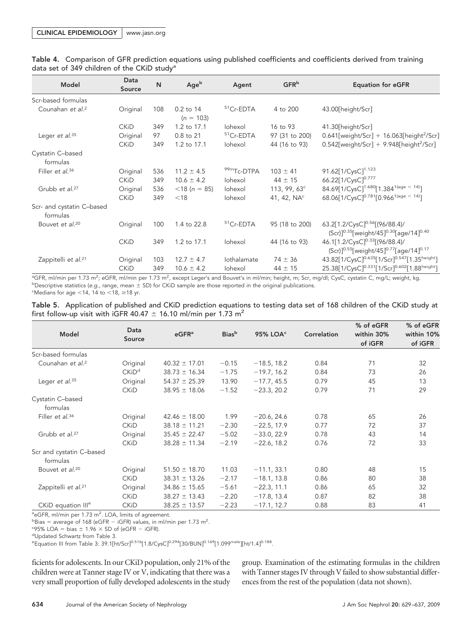| Model                                 | Data<br>Source | N   | Ageb                       | Agent         | GFR <sup>b</sup>      | <b>Equation for eGFR</b>                                                                                                  |
|---------------------------------------|----------------|-----|----------------------------|---------------|-----------------------|---------------------------------------------------------------------------------------------------------------------------|
| Scr-based formulas                    |                |     |                            |               |                       |                                                                                                                           |
| Counahan et al. <sup>2</sup>          | Original       | 108 | $0.2$ to 14<br>$(n = 103)$ | $51$ Cr-EDTA  | 4 to 200              | 43.00[height/Scr]                                                                                                         |
|                                       | <b>CKiD</b>    | 349 | 1.2 to 17.1                | Iohexol       | 16 to 93              | 41.30[height/Scr]                                                                                                         |
| Leger et $al.^{35}$                   | Original       | 97  | 0.8 to 21                  | $51$ Cr-EDTA  | 97 (31 to 200)        | $0.641$ [weight/Scr] + 16.063[height <sup>2</sup> /Scr]                                                                   |
|                                       | <b>CKiD</b>    | 349 | 1.2 to 17.1                | Iohexol       | 44 (16 to 93)         | $0.542$ [weight/Scr] + 9.948[height <sup>2</sup> /Scr]                                                                    |
| Cystatin C-based<br>formulas          |                |     |                            |               |                       |                                                                                                                           |
| Filler et al. <sup>36</sup>           | Original       | 536 | $11.2 \pm 4.5$             | $99m$ Tc-DTPA | $103 \pm 41$          | 91.62[1/CysC] <sup>1.123</sup>                                                                                            |
|                                       | <b>CKiD</b>    | 349 | $10.6 \pm 4.2$             | Iohexol       | $44 \pm 15$           | 66.22 [1/ CysC ] <sup>0.777</sup>                                                                                         |
| Grubb et al. <sup>27</sup>            | Original       | 536 | $<$ 18 (n = 85)            | Iohexol       | 113, 99, $63^{\circ}$ | 84.69 $[1/C$ ysC $]^{1.680}$ $[1.384^{1(\text{age} < 14)}]$                                                               |
|                                       | <b>CKiD</b>    | 349 | $<$ 18                     | Iohexol       | 41, 42, $NAc$         | 68.06 $[1/C$ ysC $]^{0.781}$ $[0.966$ <sup>1(age &lt; 14)</sup> $]$                                                       |
| Scr- and cystatin C-based<br>formulas |                |     |                            |               |                       |                                                                                                                           |
| Bouvet et al. <sup>20</sup>           | Original       | 100 | 1.4 to 22.8                | $51$ Cr-EDTA  | 95 (18 to 200)        | 63.2[1.2/CysC] <sup>0.56</sup> [(96/88.4)/<br>(Scr) <sup>10.35</sup> [weight/45] <sup>0.30</sup> [age/14] <sup>0.40</sup> |
|                                       | <b>CKiD</b>    | 349 | 1.2 to 17.1                | Iohexol       | 44 (16 to 93)         | 46.1[1.2/CysC] <sup>0.33</sup> [(96/88.4)/<br>(Scr)] <sup>0.55</sup> [weight/45] <sup>0.77</sup> [age/14] <sup>0.17</sup> |
| Zappitelli et al. <sup>21</sup>       | Original       | 103 | $12.7 \pm 4.7$             | Iothalamate   | $74 \pm 36$           | 43.82[1/CysC] <sup>0.635</sup> [1/Scr] <sup>0.547</sup> [1.35height]                                                      |
|                                       | <b>CKiD</b>    | 349 | $10.6 \pm 4.2$             | lohexol       | $44 \pm 15$           | 25.38[1/CysC] <sup>0.331</sup> [1/Scr] <sup>0.602</sup> [1.88height]                                                      |

Table 4. Comparison of GFR prediction equations using published coefficients and coefficients derived from training data set of 349 children of the CKiD study<sup>a</sup>

ªGFR, ml/min per 1.73 m<sup>2</sup>; eGFR, ml/min per 1.73 m<sup>2</sup>, except Leger's and Bouvet's in ml/min; height, m; Scr, mg/dl; CysC, cystatin C, mg/L; weight, kg. b Descriptive statistics (*e.g.*, range, mean SD) for CKiD sample are those reported in the original publications.  $\textdegree$ Medians for age <14, 14 to <18,  $\geq$ 18 yr.

Table 5. Application of published and CKiD prediction equations to testing data set of 168 children of the CKiD study at first follow-up visit with iGFR 40.47  $\pm$  16.10 ml/min per 1.73 m<sup>2</sup>

| Model                                | Data<br>Source    | $e$ GFR <sup>a</sup> | <b>Bias</b> b | 95% LOA <sup>c</sup> | Correlation | % of eGFR<br>within 30%<br>of iGFR | % of eGFR<br>within 10%<br>of iGFR |
|--------------------------------------|-------------------|----------------------|---------------|----------------------|-------------|------------------------------------|------------------------------------|
| Scr-based formulas                   |                   |                      |               |                      |             |                                    |                                    |
| Counahan et al. <sup>2</sup>         | Original          | $40.32 \pm 17.01$    | $-0.15$       | $-18.5, 18.2$        | 0.84        | 71                                 | 32                                 |
|                                      | CKiD <sup>d</sup> | $38.73 \pm 16.34$    | $-1.75$       | $-19.7, 16.2$        | 0.84        | 73                                 | 26                                 |
| Leger et $al.^{35}$                  | Original          | $54.37 \pm 25.39$    | 13.90         | $-17.7, 45.5$        | 0.79        | 45                                 | 13                                 |
|                                      | <b>CKiD</b>       | $38.95 \pm 18.06$    | $-1.52$       | $-23.3, 20.2$        | 0.79        | 71                                 | 29                                 |
| Cystatin C-based<br>formulas         |                   |                      |               |                      |             |                                    |                                    |
| Filler et al. <sup>36</sup>          | Original          | $42.46 \pm 18.00$    | 1.99          | $-20.6, 24.6$        | 0.78        | 65                                 | 26                                 |
|                                      | <b>CKiD</b>       | $38.18 \pm 11.21$    | $-2.30$       | $-22.5, 17.9$        | 0.77        | 72                                 | 37                                 |
| Grubb et al. <sup>27</sup>           | Original          | $35.45 \pm 22.47$    | $-5.02$       | $-33.0, 22.9$        | 0.78        | 43                                 | 14                                 |
|                                      | <b>CKiD</b>       | $38.28 \pm 11.34$    | $-2.19$       | $-22.6, 18.2$        | 0.76        | 72                                 | 33                                 |
| Scr and cystatin C-based<br>formulas |                   |                      |               |                      |             |                                    |                                    |
| Bouvet et al. <sup>20</sup>          | Original          | $51.50 \pm 18.70$    | 11.03         | $-11.1, 33.1$        | 0.80        | 48                                 | 15                                 |
|                                      | <b>CKiD</b>       | $38.31 \pm 13.26$    | $-2.17$       | $-18.1, 13.8$        | 0.86        | 80                                 | 38                                 |
| Zappitelli et al. <sup>21</sup>      | Original          | $34.86 \pm 15.65$    | $-5.61$       | $-22.3, 11.1$        | 0.86        | 65                                 | 32                                 |
|                                      | <b>CKiD</b>       | $38.27 \pm 13.43$    | $-2.20$       | $-17.8, 13.4$        | 0.87        | 82                                 | 38                                 |
| CKiD equation III <sup>e</sup>       | <b>CKiD</b>       | $38.25 \pm 13.57$    | $-2.23$       | $-17.1, 12.7$        | 0.88        | 83                                 | 41                                 |

<sup>a</sup>eGFR, ml/min per 1.73 m<sup>2</sup>. LOA, limits of agreement.

 $b$ Bias = average of 168 (eGFR – iGFR) values, in ml/min per 1.73 m<sup>2</sup>.

 $-c95\%$  LOA = bias  $\pm$  1.96  $\times$  SD of (eGFR - iGFR).

<sup>e</sup>Equation III from Table 3: 39.1[ht/Scr]<sup>0.516</sup>[1.8/CysC]<sup>0.294</sup>[30/BUN]<sup>0.169</sup>[1.099<sup>male</sup>][ht/1.4]<sup>0.188</sup>.

ficients for adolescents. In our CKiD population, only 21% of the children were at Tanner stage IV or V, indicating that there was a very small proportion of fully developed adolescents in the study group. Examination of the estimating formulas in the children with Tanner stages IV through V failed to show substantial differences from the rest of the population (data not shown).

dUpdated Schwartz from Table 3.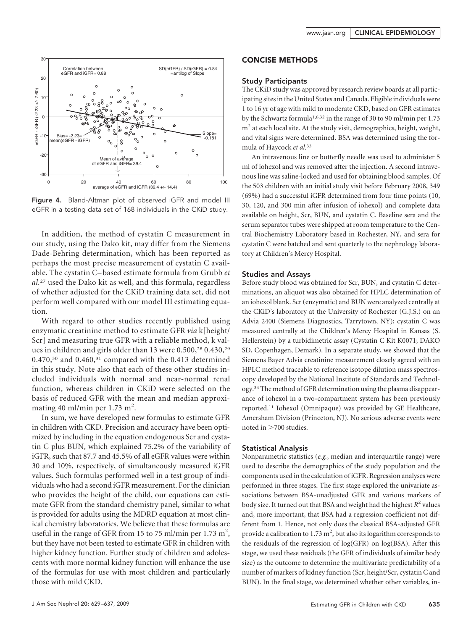

Figure 4. Bland-Altman plot of observed iGFR and model III eGFR in a testing data set of 168 individuals in the CKiD study.

In addition, the method of cystatin C measurement in our study, using the Dako kit, may differ from the Siemens Dade-Behring determination, which has been reported as perhaps the most precise measurement of cystatin C available. The cystatin C– based estimate formula from Grubb *et al.*<sup>27</sup> used the Dako kit as well, and this formula, regardless of whether adjusted for the CKiD training data set, did not perform well compared with our model III estimating equation.

With regard to other studies recently published using enzymatic creatinine method to estimate GFR *via* k[height/ Scr] and measuring true GFR with a reliable method, k values in children and girls older than 13 were 0.500,<sup>28</sup> 0.430,<sup>29</sup>  $0.470$ ,<sup>30</sup> and  $0.460$ ,<sup>31</sup> compared with the 0.413 determined in this study. Note also that each of these other studies included individuals with normal and near-normal renal function, whereas children in CKiD were selected on the basis of reduced GFR with the mean and median approximating 40 ml/min per 1.73 m<sup>2</sup>.

In sum, we have developed new formulas to estimate GFR in children with CKD. Precision and accuracy have been optimized by including in the equation endogenous Scr and cystatin C plus BUN, which explained 75.2% of the variability of iGFR, such that 87.7 and 45.5% of all eGFR values were within 30 and 10%, respectively, of simultaneously measured iGFR values. Such formulas performed well in a test group of individuals who had a second iGFR measurement. For the clinician who provides the height of the child, our equations can estimate GFR from the standard chemistry panel, similar to what is provided for adults using the MDRD equation at most clinical chemistry laboratories. We believe that these formulas are useful in the range of GFR from 15 to 75 ml/min per 1.73 m<sup>2</sup>, but they have not been tested to estimate GFR in children with higher kidney function. Further study of children and adolescents with more normal kidney function will enhance the use of the formulas for use with most children and particularly those with mild CKD.

## CONCISE METHODS

#### Study Participants

The CKiD study was approved by research review boards at all participating sites in the United States and Canada. Eligible individuals were 1 to 16 yr of age with mild to moderate CKD, based on GFR estimates by the Schwartz formula1,6,32 in the range of 30 to 90 ml/min per 1.73  $m<sup>2</sup>$  at each local site. At the study visit, demographics, height, weight, and vital signs were determined. BSA was determined using the formula of Haycock *et al.*<sup>33</sup>

An intravenous line or butterfly needle was used to administer 5 ml of iohexol and was removed after the injection. A second intravenous line was saline-locked and used for obtaining blood samples. Of the 503 children with an initial study visit before February 2008, 349 (69%) had a successful iGFR determined from four time points (10, 30, 120, and 300 min after infusion of iohexol) and complete data available on height, Scr, BUN, and cystatin C. Baseline sera and the serum separator tubes were shipped at room temperature to the Central Biochemistry Laboratory based in Rochester, NY, and sera for cystatin C were batched and sent quarterly to the nephrology laboratory at Children's Mercy Hospital.

#### Studies and Assays

Before study blood was obtained for Scr, BUN, and cystatin C determinations, an aliquot was also obtained for HPLC determination of an iohexol blank. Scr (enzymatic) and BUN were analyzed centrally at the CKiD's laboratory at the University of Rochester (G.J.S.) on an Advia 2400 (Siemens Diagnostics, Tarrytown, NY); cystatin C was measured centrally at the Children's Mercy Hospital in Kansas (S. Hellerstein) by a turbidimetric assay (Cystatin C Kit K0071; DAKO SD, Copenhagen, Demark). In a separate study, we showed that the Siemens Bayer Advia creatinine measurement closely agreed with an HPLC method traceable to reference isotope dilution mass spectroscopy developed by the National Institute of Standards and Technology.34The method of GFR determination using the plasma disappearance of iohexol in a two-compartment system has been previously reported.11 Iohexol (Omnipaque) was provided by GE Healthcare, Amersham Division (Princeton, NJ). No serious adverse events were noted in  $>700$  studies.

#### Statistical Analysis

Nonparametric statistics (*e.g.*, median and interquartile range) were used to describe the demographics of the study population and the components used in the calculation of iGFR. Regression analyses were performed in three stages. The first stage explored the univariate associations between BSA-unadjusted GFR and various markers of body size. It turned out that BSA and weight had the highest *R*<sup>2</sup> values and, more important, that BSA had a regression coefficient not different from 1. Hence, not only does the classical BSA-adjusted GFR provide a calibration to  $1.73 \text{ m}^2$ , but also its logarithm corresponds to the residuals of the regression of log(GFR) on log(BSA). After this stage, we used these residuals (the GFR of individuals of similar body size) as the outcome to determine the multivariate predictability of a number of markers of kidney function (Scr, height/Scr, cystatin C and BUN). In the final stage, we determined whether other variables, in-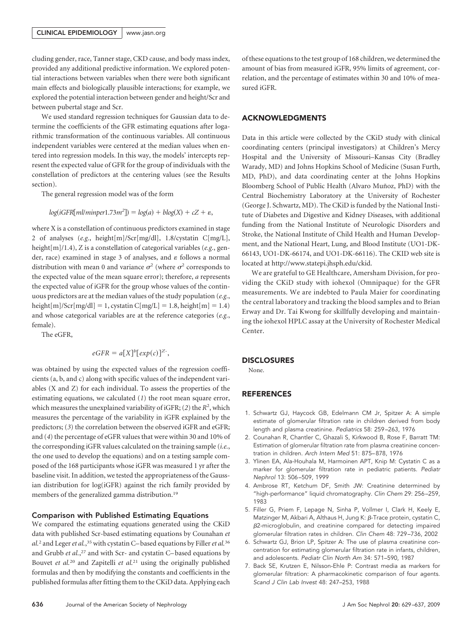#### CLINICAL EPIDEMIOLOGY | www.jasn.org

cluding gender, race, Tanner stage, CKD cause, and body mass index, provided any additional predictive information. We explored potential interactions between variables when there were both significant main effects and biologically plausible interactions; for example, we explored the potential interaction between gender and height/Scr and between pubertal stage and Scr.

We used standard regression techniques for Gaussian data to determine the coefficients of the GFR estimating equations after logarithmic transformation of the continuous variables. All continuous independent variables were centered at the median values when entered into regression models. In this way, the models' intercepts represent the expected value of GFR for the group of individuals with the constellation of predictors at the centering values (see the Results section).

The general regression model was of the form

$$
log(iGFR[ml/minper1.73m^2]) = log(a) + blog(X) + cZ + \varepsilon,
$$

where X is a constellation of continuous predictors examined in stage 2 of analyses (*e.g.*, height[m]/Scr[mg/dl], 1.8/cystatin C[mg/L], height[m]/1.4), Z is a constellation of categorical variables (*e.g.*, gender, race) examined in stage 3 of analyses, and  $\varepsilon$  follows a normal distribution with mean 0 and variance  $\sigma^2$  (where  $\sigma^2$  corresponds to the expected value of the mean square error); therefore, *a* represents the expected value of iGFR for the group whose values of the continuous predictors are at the median values of the study population (*e.g.*, height $[m]/\text{Scr}[mg/d]] = 1$ , cystatin C $[mg/L] = 1.8$ , height $[m] = 1.4$ ) and whose categorical variables are at the reference categories (*e.g.*, female).

The eGFR,

$$
eGFR = a[X]^b[exp(c)]^{Z^-},
$$

was obtained by using the expected values of the regression coefficients (a, b, and c) along with specific values of the independent variables (X and Z) for each individual. To assess the properties of the estimating equations, we calculated (*1*) the root mean square error, which measures the unexplained variability of  $iGFR$ ; (2) the  $R<sup>2</sup>$ , which measures the percentage of the variability in iGFR explained by the predictors; (*3*) the correlation between the observed iGFR and eGFR; and (*4*) the percentage of eGFR values that were within 30 and 10% of the corresponding iGFR values calculated on the training sample (*i.e.*, the one used to develop the equations) and on a testing sample composed of the 168 participants whose iGFR was measured 1 yr after the baseline visit. In addition, we tested the appropriateness of the Gaussian distribution for log(iGFR) against the rich family provided by members of the generalized gamma distribution.19

#### Comparison with Published Estimating Equations

We compared the estimating equations generated using the CKiD data with published Scr-based estimating equations by Counahan *et* al.<sup>2</sup> and Leger et al.,<sup>35</sup> with cystatin C-based equations by Filler et al.<sup>36</sup> and Grubb *et al.*, <sup>27</sup> and with Scr- and cystatin C– based equations by Bouvet *et al.*<sup>20</sup> and Zapitelli *et al.*<sup>21</sup> using the originally published formulas and then by modifying the constants and coefficients in the published formulas after fitting them to the CKiD data. Applying each of these equations to the test group of 168 children, we determined the amount of bias from measured iGFR, 95% limits of agreement, correlation, and the percentage of estimates within 30 and 10% of measured iGFR.

#### ACKNOWLEDGMENTS

Data in this article were collected by the CKiD study with clinical coordinating centers (principal investigators) at Children's Mercy Hospital and the University of Missouri–Kansas City (Bradley Warady, MD) and Johns Hopkins School of Medicine (Susan Furth, MD, PhD), and data coordinating center at the Johns Hopkins Bloomberg School of Public Health (Alvaro Muñoz, PhD) with the Central Biochemistry Laboratory at the University of Rochester (George J. Schwartz, MD). The CKiD is funded by the National Institute of Diabetes and Digestive and Kidney Diseases, with additional funding from the National Institute of Neurologic Disorders and Stroke, the National Institute of Child Health and Human Development, and the National Heart, Lung, and Blood Institute (UO1-DK-66143, UO1-DK-66174, and UO1-DK-66116). The CKID web site is located at http://www.statepi.jhsph.edu/ckid.

We are grateful to GE Healthcare, Amersham Division, for providing the CKiD study with iohexol (Omnipaque) for the GFR measurements. We are indebted to Paula Maier for coordinating the central laboratory and tracking the blood samples and to Brian Erway and Dr. Tai Kwong for skillfully developing and maintaining the iohexol HPLC assay at the University of Rochester Medical Center.

#### **DISCLOSURES**

None.

## **REFERENCES**

- 1. Schwartz GJ, Haycock GB, Edelmann CM Jr, Spitzer A: A simple estimate of glomerular filtration rate in children derived from body length and plasma creatinine. *Pediatrics* 58: 259 –263, 1976
- 2. Counahan R, Chantler C, Ghazali S, Kirkwood B, Rose F, Barratt TM: Estimation of glomerular filtration rate from plasma creatinine concentration in children. *Arch Intern Med* 51: 875– 878, 1976
- 3. Ylinen EA, Ala-Houhala M, Harmoinen APT, Knip M: Cystatin C as a marker for glomerular filtration rate in pediatric patients. *Pediatr Nephrol* 13: 506 –509, 1999
- 4. Ambrose RT, Ketchum DF, Smith JW: Creatinine determined by "high-performance" liquid chromatography. *Clin Chem* 29: 256 –259, 1983
- 5. Filler G, Priem F, Lepage N, Sinha P, Vollmer I, Clark H, Keely E, Matzinger M, Akbari A, Althaus H, Jung K:  $\beta$ -Trace protein, cystatin C,  $\beta$ 2-microglobulin, and creatinine compared for detecting impaired glomerular filtration rates in children. *Clin Chem* 48: 729 –736, 2002
- 6. Schwartz GJ, Brion LP, Spitzer A: The use of plasma creatinine concentration for estimating glomerular filtration rate in infants, children, and adolescents. *Pediatr Clin North Am* 34: 571–590, 1987
- 7. Back SE, Krutzen E, Nilsson-Ehle P: Contrast media as markers for glomerular filtration: A pharmacokinetic comparison of four agents. *Scand J Clin Lab Invest* 48: 247–253, 1988